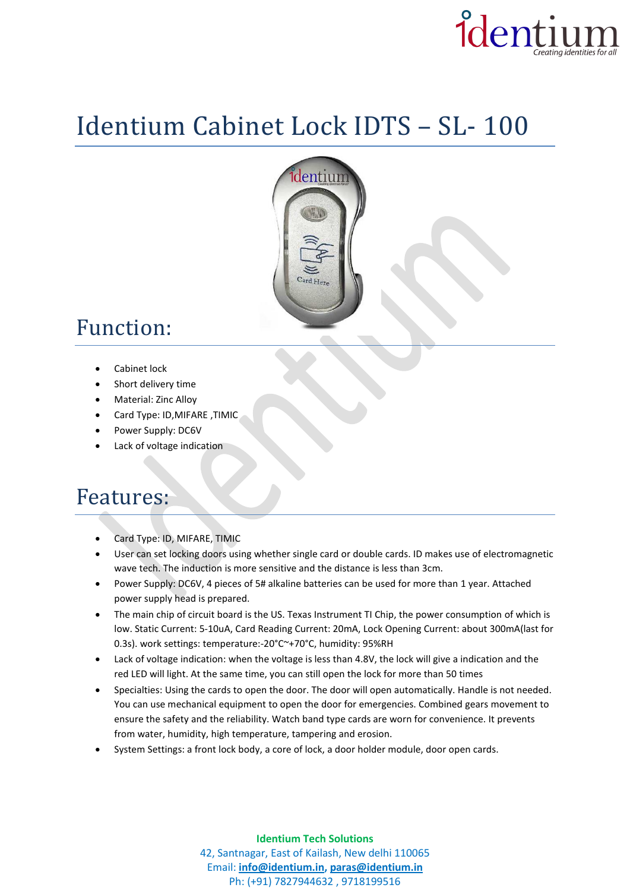

# Identium Cabinet Lock IDTS – SL- 100



## Function:

- Cabinet lock
- Short delivery time
- Material: Zinc Alloy
- Card Type: ID,MIFARE ,TIMIC
- Power Supply: DC6V
- Lack of voltage indication

#### Features:

- Card Type: ID, MIFARE, TIMIC
- User can set locking doors using whether single card or double cards. ID makes use of electromagnetic wave tech. The induction is more sensitive and the distance is less than 3cm.
- Power Supply: DC6V, 4 pieces of 5# alkaline batteries can be used for more than 1 year. Attached power supply head is prepared.
- The main chip of circuit board is the US. Texas Instrument TI Chip, the power consumption of which is low. Static Current: 5-10uA, Card Reading Current: 20mA, Lock Opening Current: about 300mA(last for 0.3s). work settings: temperature:-20°C~+70°C, humidity: 95%RH
- Lack of voltage indication: when the voltage is less than 4.8V, the lock will give a indication and the red LED will light. At the same time, you can still open the lock for more than 50 times
- Specialties: Using the cards to open the door. The door will open automatically. Handle is not needed. You can use mechanical equipment to open the door for emergencies. Combined gears movement to ensure the safety and the reliability. Watch band type cards are worn for convenience. It prevents from water, humidity, high temperature, tampering and erosion.
- System Settings: a front lock body, a core of lock, a door holder module, door open cards.

**Identium Tech Solutions** 42, Santnagar, East of Kailash, New delhi 110065 Email: **[info@identium.in,](mailto:info@identium.in) [paras@identium.in](mailto:paras@identium.in)** Ph: (+91) 7827944632 , 9718199516